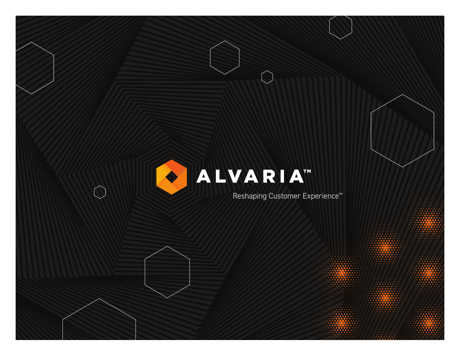# O ALVARIAT

 $\bigcap$ 

Reshaping Customer Experience™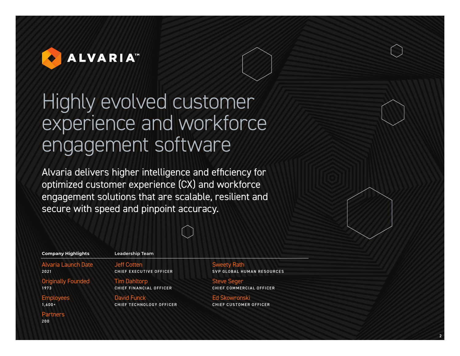

## Highly evolved customer experience and workforce engagement software

Alvaria delivers higher intelligence and efficiency for optimized customer experience (CX) and workforce engagement solutions that are scalable, resilient and secure with speed and pinpoint accuracy.

 $\begin{bmatrix} 1 & 1 \end{bmatrix}$ 

| <b>Company Highlights</b>  | <b>Leadership Team</b>   |                        |
|----------------------------|--------------------------|------------------------|
| <b>Alvaria Launch Date</b> | <b>Jeff Cotten</b>       | <b>Sweety Rath</b>     |
| 2021                       | CHIEF EXECUTIVE OFFICER  | <b>SVP GLOBAL HUMA</b> |
| <b>Originally Founded</b>  | <b>Tim Dahltorp</b>      | <b>Steve Seger</b>     |
| 1973                       | CHIEF FINANCIAL OFFICER  | <b>CHIEF COMMERCIA</b> |
| <b>Employees</b>           | <b>David Funck</b>       | <b>Ed Skowronski</b>   |
| $1.600 +$                  | CHIEF TECHNOLOGY OFFICER | <b>CHIEF CUSTOMER</b>  |
| <b>Partners</b><br>200     |                          |                        |

**N RESOURCES** 

2

L OFFICER

OFFICER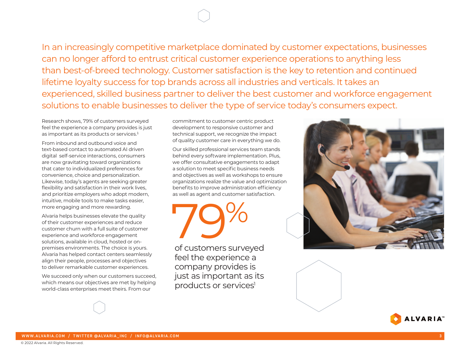## In an increasingly competitive marketplace dominated by customer expectations, businesses can no longer afford to entrust critical customer experience operations to anything less than best-of-breed technology. Customer satisfaction is the key to retention and continued lifetime loyalty success for top brands across all industries and verticals. It takes an experienced, skilled business partner to deliver the best customer and workforce engagement solutions to enable businesses to deliver the type of service today's consumers expect.

Research shows, 79% of customers surveyed feel the experience a company provides is just as important as its products or services.<sup>1</sup>

From inbound and outbound voice and text-based contact to automated AI driven digital self-service interactions, consumers are now gravitating toward organizations that cater to individualized preferences for convenience, choice and personalization. Likewise, today's agents are seeking greater flexibility and satisfaction in their work lives, and prioritize employers who adopt modern, intuitive, mobile tools to make tasks easier, more engaging and more rewarding.

Alvaria helps businesses elevate the quality of their customer experiences and reduce customer churn with a full suite of customer experience and workforce engagement solutions, available in cloud, hosted or onpremises environments. The choice is yours. Alvaria has helped contact centers seamlessly align their people, processes and objectives to deliver remarkable customer experiences.

We succeed only when our customers succeed, which means our objectives are met by helping world-class enterprises meet theirs. From our

commitment to customer centric product development to responsive customer and technical support, we recognize the impact of quality customer care in everything we do.

Our skilled professional services team stands behind every software implementation. Plus, we offer consultative engagements to adapt a solution to meet specific business needs and objectives as well as workshops to ensure organizations realize the value and optimization benefits to improve administration efficiency as well as agent and customer satisfaction.

79%

of customers surveyed feel the experience a company provides is just as important as its products or services<sup>1</sup>